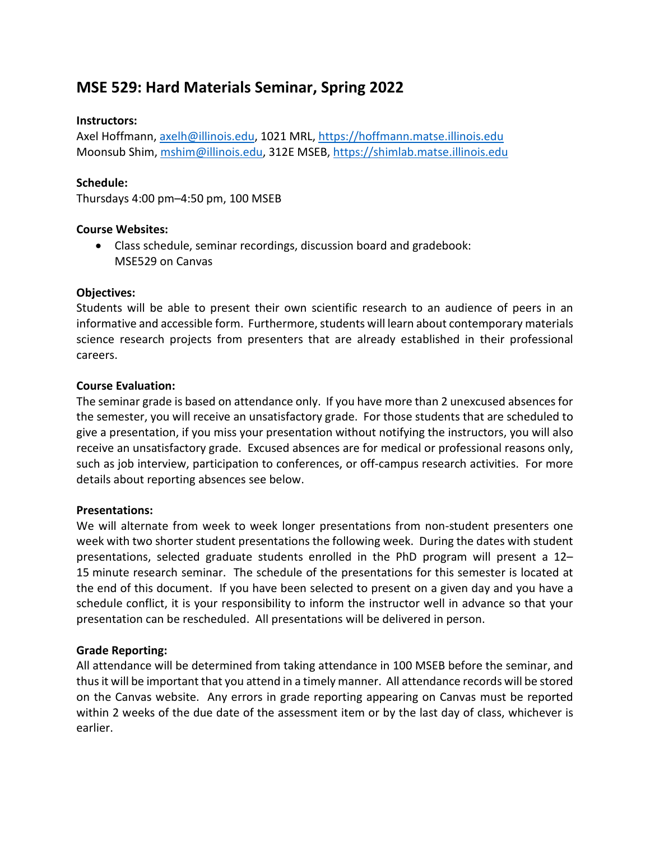# **MSE 529: Hard Materials Seminar, Spring 2022**

#### **Instructors:**

Axel Hoffmann, [axelh@illinois.edu,](mailto:axelh@illinois.edu) 1021 MRL, [https://hoffmann.matse.illinois.edu](https://hoffmann.matse.illinois.edu/) Moonsub Shim, [mshim@illinois.edu,](mailto:mshim@illinois.edu) 312E MSEB, [https://shimlab.matse.illinois.edu](https://shimlab.matse.illinois.edu/)

#### **Schedule:**

Thursdays 4:00 pm–4:50 pm, 100 MSEB

#### **Course Websites:**

• Class schedule, seminar recordings, discussion board and gradebook: MSE529 on Canvas

#### **Objectives:**

Students will be able to present their own scientific research to an audience of peers in an informative and accessible form. Furthermore, students will learn about contemporary materials science research projects from presenters that are already established in their professional careers.

#### **Course Evaluation:**

The seminar grade is based on attendance only. If you have more than 2 unexcused absences for the semester, you will receive an unsatisfactory grade. For those students that are scheduled to give a presentation, if you miss your presentation without notifying the instructors, you will also receive an unsatisfactory grade. Excused absences are for medical or professional reasons only, such as job interview, participation to conferences, or off-campus research activities. For more details about reporting absences see below.

#### **Presentations:**

We will alternate from week to week longer presentations from non-student presenters one week with two shorter student presentations the following week. During the dates with student presentations, selected graduate students enrolled in the PhD program will present a 12– 15 minute research seminar. The schedule of the presentations for this semester is located at the end of this document. If you have been selected to present on a given day and you have a schedule conflict, it is your responsibility to inform the instructor well in advance so that your presentation can be rescheduled. All presentations will be delivered in person.

# **Grade Reporting:**

All attendance will be determined from taking attendance in 100 MSEB before the seminar, and thus it will be important that you attend in a timely manner. All attendance records will be stored on the Canvas website. Any errors in grade reporting appearing on Canvas must be reported within 2 weeks of the due date of the assessment item or by the last day of class, whichever is earlier.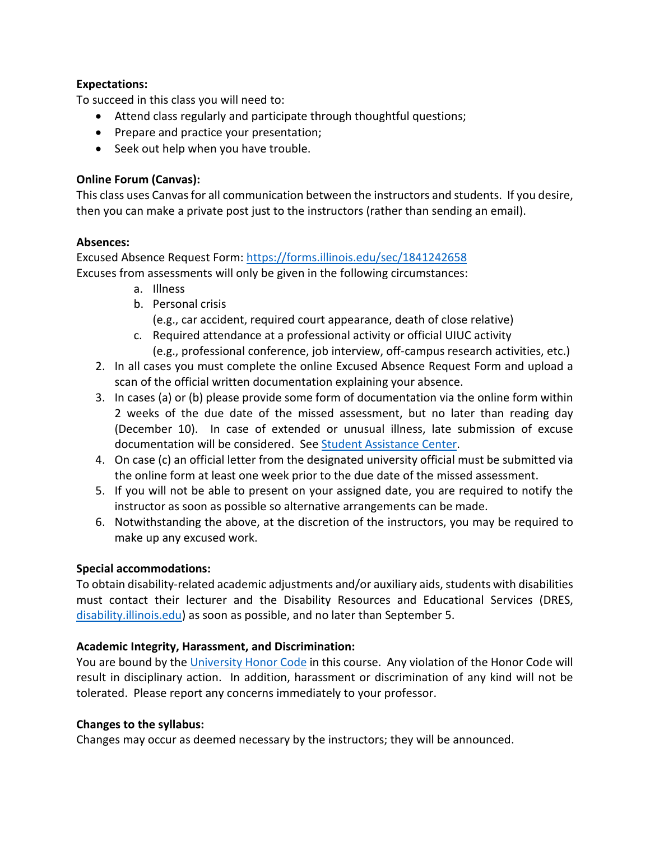#### **Expectations:**

To succeed in this class you will need to:

- Attend class regularly and participate through thoughtful questions;
- Prepare and practice your presentation;
- Seek out help when you have trouble.

# **Online Forum (Canvas):**

This class uses Canvasfor all communication between the instructors and students. If you desire, then you can make a private post just to the instructors (rather than sending an email).

# **Absences:**

Excused Absence Request Form:<https://forms.illinois.edu/sec/1841242658> Excuses from assessments will only be given in the following circumstances:

- a. Illness
- b. Personal crisis

(e.g., car accident, required court appearance, death of close relative)

- c. Required attendance at a professional activity or official UIUC activity
	- (e.g., professional conference, job interview, off-campus research activities, etc.)
- 2. In all cases you must complete the online Excused Absence Request Form and upload a scan of the official written documentation explaining your absence.
- 3. In cases (a) or (b) please provide some form of documentation via the online form within 2 weeks of the due date of the missed assessment, but no later than reading day (December 10). In case of extended or unusual illness, late submission of excuse documentation will be considered. See [Student Assistance Center.](https://odos.illinois.edu/community-of-care/student-assistance-center/)
- 4. On case (c) an official letter from the designated university official must be submitted via the online form at least one week prior to the due date of the missed assessment.
- 5. If you will not be able to present on your assigned date, you are required to notify the instructor as soon as possible so alternative arrangements can be made.
- 6. Notwithstanding the above, at the discretion of the instructors, you may be required to make up any excused work.

# **Special accommodations:**

To obtain disability-related academic adjustments and/or auxiliary aids, students with disabilities must contact their lecturer and the Disability Resources and Educational Services (DRES, [disability.illinois.edu\)](https://www.disability.illinois.edu/) as soon as possible, and no later than September 5.

# **Academic Integrity, Harassment, and Discrimination:**

You are bound by the [University Honor Code](https://studentcode.illinois.edu/) in this course. Any violation of the Honor Code will result in disciplinary action. In addition, harassment or discrimination of any kind will not be tolerated. Please report any concerns immediately to your professor.

# **Changes to the syllabus:**

Changes may occur as deemed necessary by the instructors; they will be announced.